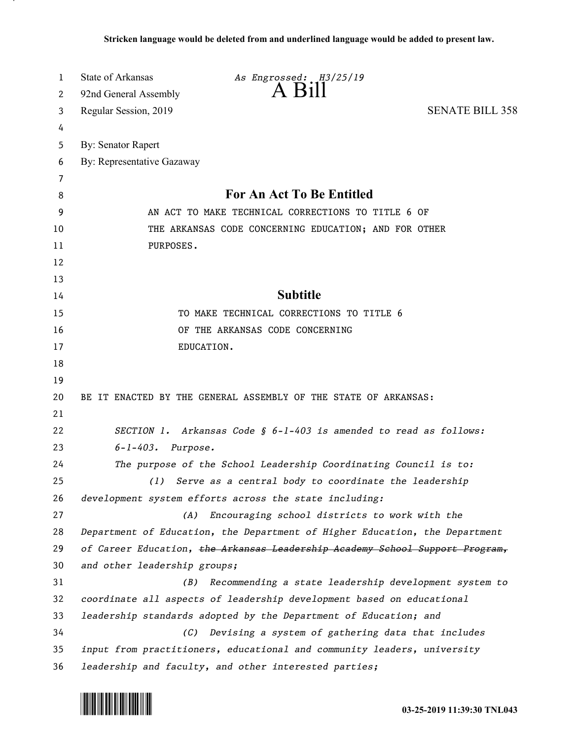| 1  | State of Arkansas            | As Engrossed: H3/25/19                                                       |                        |
|----|------------------------------|------------------------------------------------------------------------------|------------------------|
| 2  | 92nd General Assembly        | $A$ $B111$                                                                   |                        |
| 3  | Regular Session, 2019        |                                                                              | <b>SENATE BILL 358</b> |
| 4  |                              |                                                                              |                        |
| 5  | <b>By: Senator Rapert</b>    |                                                                              |                        |
| 6  | By: Representative Gazaway   |                                                                              |                        |
| 7  |                              |                                                                              |                        |
| 8  |                              | For An Act To Be Entitled                                                    |                        |
| 9  |                              | AN ACT TO MAKE TECHNICAL CORRECTIONS TO TITLE 6 OF                           |                        |
| 10 |                              | THE ARKANSAS CODE CONCERNING EDUCATION; AND FOR OTHER                        |                        |
| 11 | PURPOSES.                    |                                                                              |                        |
| 12 |                              |                                                                              |                        |
| 13 |                              |                                                                              |                        |
| 14 |                              | <b>Subtitle</b>                                                              |                        |
| 15 |                              | TO MAKE TECHNICAL CORRECTIONS TO TITLE 6                                     |                        |
| 16 |                              | OF THE ARKANSAS CODE CONCERNING                                              |                        |
| 17 | EDUCATION.                   |                                                                              |                        |
| 18 |                              |                                                                              |                        |
| 19 |                              |                                                                              |                        |
| 20 |                              | BE IT ENACTED BY THE GENERAL ASSEMBLY OF THE STATE OF ARKANSAS:              |                        |
| 21 |                              |                                                                              |                        |
| 22 |                              | SECTION 1. Arkansas Code § 6-1-403 is amended to read as follows:            |                        |
| 23 | $6 - 1 - 403$ . Purpose.     |                                                                              |                        |
| 24 |                              | The purpose of the School Leadership Coordinating Council is to:             |                        |
| 25 | (1)                          | Serve as a central body to coordinate the leadership                         |                        |
| 26 |                              | development system efforts across the state including:                       |                        |
| 27 | (A)                          | Encouraging school districts to work with the                                |                        |
| 28 |                              | Department of Education, the Department of Higher Education, the Department  |                        |
| 29 |                              | of Career Education, the Arkansas Leadership Academy School Support Program, |                        |
| 30 | and other leadership groups; |                                                                              |                        |
| 31 | (B)                          | Recommending a state leadership development system to                        |                        |
| 32 |                              | coordinate all aspects of leadership development based on educational        |                        |
| 33 |                              | leadership standards adopted by the Department of Education; and             |                        |
| 34 | (C)                          | Devising a system of gathering data that includes                            |                        |
| 35 |                              | input from practitioners, educational and community leaders, university      |                        |
| 36 |                              | leadership and faculty, and other interested parties;                        |                        |

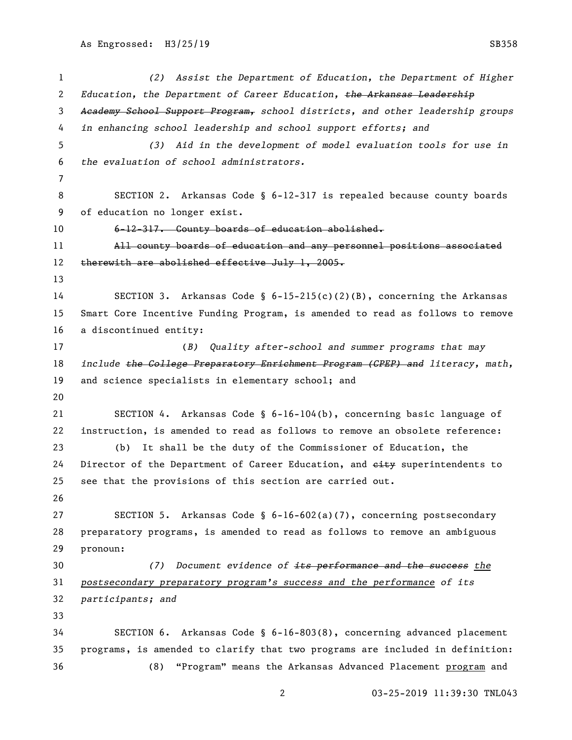*(2) Assist the Department of Education, the Department of Higher Education, the Department of Career Education, the Arkansas Leadership Academy School Support Program, school districts, and other leadership groups in enhancing school leadership and school support efforts; and (3) Aid in the development of model evaluation tools for use in the evaluation of school administrators.* SECTION 2. Arkansas Code § 6-12-317 is repealed because county boards of education no longer exist. 6-12-317. County boards of education abolished. All county boards of education and any personnel positions associated 12 therewith are abolished effective July 1, 2005. SECTION 3. Arkansas Code § 6-15-215(c)(2)(B), concerning the Arkansas Smart Core Incentive Funding Program, is amended to read as follows to remove a discontinued entity: (*B) Quality after-school and summer programs that may include the College Preparatory Enrichment Program (CPEP) and literacy, math,* and science specialists in elementary school; and SECTION 4. Arkansas Code § 6-16-104(b), concerning basic language of instruction, is amended to read as follows to remove an obsolete reference: (b) It shall be the duty of the Commissioner of Education, the 24 Director of the Department of Career Education, and  $e$ ity superintendents to see that the provisions of this section are carried out. SECTION 5. Arkansas Code § 6-16-602(a)(7), concerning postsecondary preparatory programs, is amended to read as follows to remove an ambiguous pronoun: *(7) Document evidence of its performance and the success the postsecondary preparatory program's success and the performance of its participants; and* SECTION 6. Arkansas Code § 6-16-803(8), concerning advanced placement programs, is amended to clarify that two programs are included in definition: (8) "Program" means the Arkansas Advanced Placement program and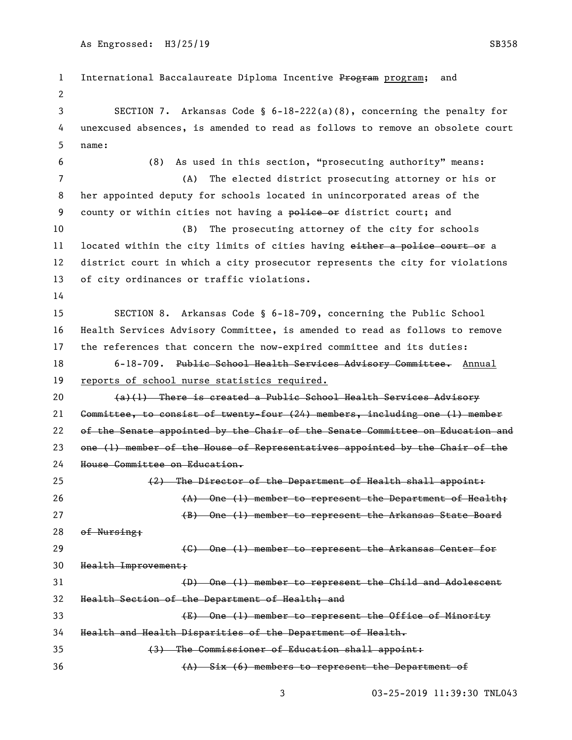1 International Baccalaureate Diploma Incentive Program program; and SECTION 7. Arkansas Code § 6-18-222(a)(8), concerning the penalty for unexcused absences, is amended to read as follows to remove an obsolete court name: (8) As used in this section, "prosecuting authority" means: (A) The elected district prosecuting attorney or his or her appointed deputy for schools located in unincorporated areas of the 9 county or within cities not having a police or district court; and (B) The prosecuting attorney of the city for schools 11 located within the city limits of cities having either a police court or a district court in which a city prosecutor represents the city for violations of city ordinances or traffic violations. SECTION 8. Arkansas Code § 6-18-709, concerning the Public School Health Services Advisory Committee, is amended to read as follows to remove the references that concern the now-expired committee and its duties: 18 6-18-709. Public School Health Services Advisory Committee. Annual reports of school nurse statistics required.  $(a)(1)$  There is created a Public School Health Services Advisory Committee, to consist of twenty-four (24) members, including one (1) member 22 of the Senate appointed by the Chair of the Senate Committee on Education and one (1) member of the House of Representatives appointed by the Chair of the House Committee on Education. (2) The Director of the Department of Health shall appoint: 26 (A) One (1) member to represent the Department of Health; 27 (B) One (1) member to represent the Arkansas State Board of Nursing; **Example 20** (C) One (1) member to represent the Arkansas Center for Health Improvement; (D) One (1) member to represent the Child and Adolescent Health Section of the Department of Health; and (E) One (1) member to represent the Office of Minority Health and Health Disparities of the Department of Health. (3) The Commissioner of Education shall appoint:

(A) Six (6) members to represent the Department of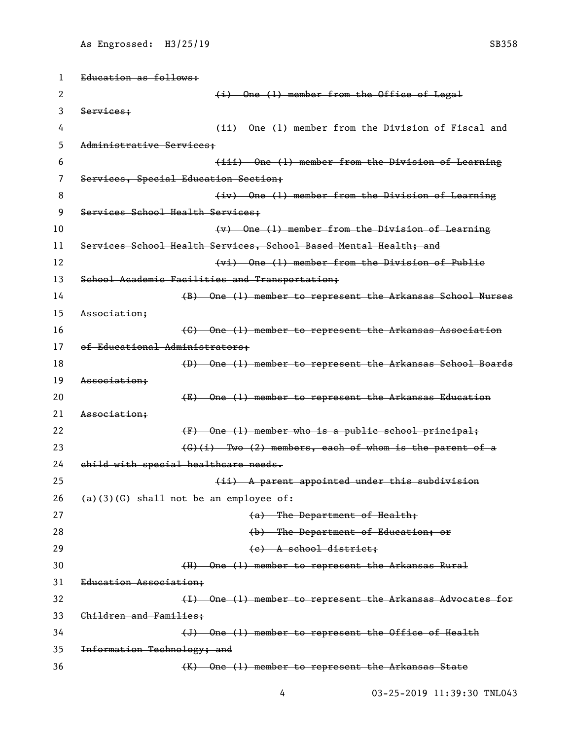| 1  | Education as follows:                                            |
|----|------------------------------------------------------------------|
| 2  | (i) One (1) member from the Office of Legal                      |
| 3  | Services;                                                        |
| 4  | (ii) One (1) member from the Division of Fiscal and              |
| 5  | Administrative Services:                                         |
| 6  | (iii) One (1) member from the Division of Learning               |
| 7  | Services, Special Education Section;                             |
| 8  | (iv) One (1) member from the Division of Learning                |
| 9  | Services School Health Services;                                 |
| 10 | $(v)$ One (1) member from the Division of Learning               |
| 11 | Services School Health Services, School Based Mental Health; and |
| 12 | (vi) One (1) member from the Division of Publie                  |
| 13 | School Academic Facilities and Transportation;                   |
| 14 | (B) One (1) member to represent the Arkansas School Nurses       |
| 15 | Association:                                                     |
| 16 | (C) One (1) member to represent the Arkansas Association         |
| 17 | of Educational Administrators;                                   |
| 18 | (D) One (1) member to represent the Arkansas School Boards       |
| 19 | Association:                                                     |
| 20 | (E) One (1) member to represent the Arkansas Education           |
| 21 | Association:                                                     |
| 22 | (F) One (1) member who is a public school principal;             |
| 23 | $(G)$ (i) Two (2) members, each of whom is the parent of a       |
| 24 | child with special healthcare needs.                             |
| 25 | (ii) A parent appointed under this subdivision                   |
| 26 | $(a)(3)(G)$ shall not be an employee of:                         |
| 27 | (a) The Department of Health;                                    |
| 28 | (b) The Department of Education; or                              |
| 29 | (e) A school district;                                           |
| 30 | (H) One (1) member to represent the Arkansas Rural               |
| 31 | Education Association;                                           |
| 32 | (I) One (1) member to represent the Arkansas Advocates for       |
| 33 | Children and Families;                                           |
| 34 | (J) One (1) member to represent the Office of Health             |
| 35 | Information Technology; and                                      |
| 36 | (K) One (1) member to represent the Arkansas State               |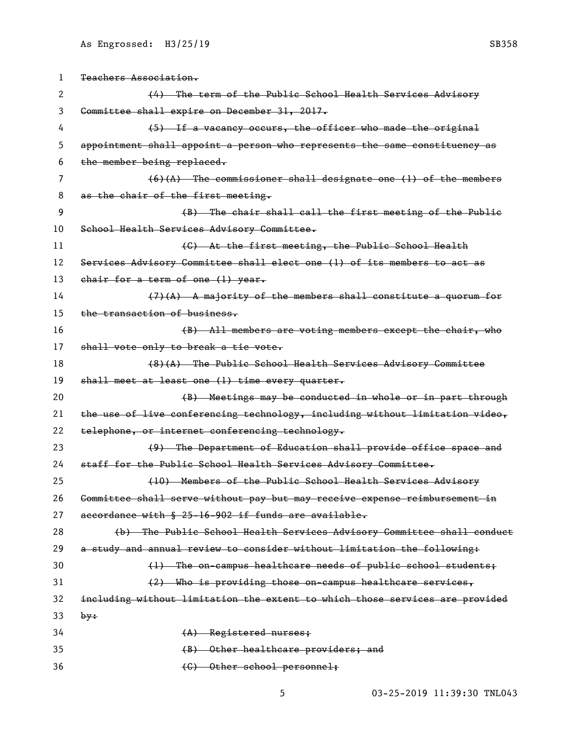| 1  | Teachers Association.                                                        |
|----|------------------------------------------------------------------------------|
| 2  | (4) The term of the Public School Health Services Advisory                   |
| 3  | Committee shall expire on December 31, 2017.                                 |
| 4  | (5) If a vacancy occurs, the officer who made the original                   |
| 5  | appointment shall appoint a person who represents the same constituency as   |
| 6  | the member being replaced.                                                   |
| 7  | $(6)(A)$ The commissioner shall designate one (1) of the members             |
| 8  | as the chair of the first meeting.                                           |
| 9  | (B) The chair shall call the first meeting of the Public                     |
| 10 | School Health Services Advisory Committee.                                   |
| 11 | (C) At the first meeting, the Public School Health                           |
| 12 | Services Advisory Committee shall elect one (1) of its members to act as     |
| 13 | chair for a term of one (1) year.                                            |
| 14 | $(7)$ (A) A majority of the members shall constitute a quorum for            |
| 15 | the transaction of business.                                                 |
| 16 | (B) All members are voting members except the chair, who                     |
| 17 | shall vote only to break a tie vote.                                         |
| 18 | (8)(A) The Public School Health Services Advisory Committee                  |
| 19 | shall meet at least one (1) time every quarter.                              |
| 20 | (B) Meetings may be conducted in whole or in part through                    |
| 21 | the use of live conferencing technology, including without limitation video, |
| 22 | telephone, or internet conferencing technology.                              |
| 23 | (9) The Department of Education shall provide office space and               |
| 24 | staff for the Public School Health Services Advisory Committee.              |
| 25 | (10) Members of the Public School Health Services Advisory                   |
| 26 | Committee shall serve without pay but may receive expense reimbursement in   |
| 27 | accordance with § 25-16-902 if funds are available.                          |
| 28 | (b) The Public School Health Services Advisory Committee shall conduct       |
| 29 | a study and annual review to consider without limitation the following:      |
| 30 | (1) The on-campus healthcare needs of public school students;                |
| 31 | (2) Who is providing those on campus healthcare services,                    |
| 32 | including without limitation the extent to which those services are provided |
| 33 | by:                                                                          |
| 34 | (A) Registered nurses;                                                       |
| 35 | (B) Other healthcare providers; and                                          |
| 36 | (C) Other school personnel;                                                  |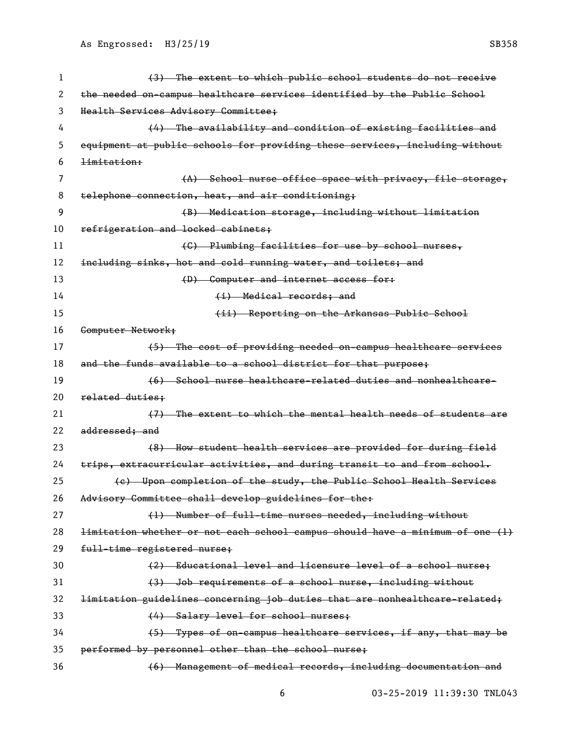| 1  | (3) The extent to which public school students do not receive                 |
|----|-------------------------------------------------------------------------------|
| 2  | the needed on campus healthcare services identified by the Public School      |
| 3  | Health Services Advisory Committee;                                           |
| 4  | (4) The availability and condition of existing facilities and                 |
| 5  | equipment at public schools for providing these services, including without   |
| 6  | <del>limitation:</del>                                                        |
| 7  | (A) School nurse office space with privacy, file storage,                     |
| 8  | telephone connection, heat, and air conditioning;                             |
| 9  | (B) Medication storage, including without limitation                          |
| 10 | refrigeration and locked cabinets;                                            |
| 11 | (C) Plumbing facilities for use by school nurses,                             |
| 12 | including sinks, hot and cold running water, and toilets; and                 |
| 13 | (D) Computer and internet access for:                                         |
| 14 | (i) Medical records; and                                                      |
| 15 | (ii) Reporting on the Arkansas Public School                                  |
| 16 | Computer Network;                                                             |
| 17 | (5) The cost of providing needed on-campus healtheare services                |
| 18 | and the funds available to a school district for that purpose;                |
| 19 | (6) School nurse healtheare-related duties and nonhealtheare-                 |
| 20 | related duties;                                                               |
| 21 | (7) The extent to which the mental health needs of students are               |
| 22 | addressed; and                                                                |
| 23 | (8) How student health services are provided for during field                 |
| 24 | trips, extracurricular activities, and during transit to and from school.     |
| 25 | (e) Upon completion of the study, the Public School Health Services           |
| 26 | Advisory Committee shall develop guidelines for the:                          |
| 27 | (1) Number of full-time nurses needed, including without                      |
| 28 | limitation whether or not each school campus should have a minimum of one (1) |
| 29 | full-time registered nurse;                                                   |
| 30 | (2) Educational level and licensure level of a school nurse;                  |
| 31 | (3) Job requirements of a school nurse, including without                     |
| 32 | limitation guidelines concerning job duties that are nonhealtheare-related;   |
| 33 | (4) Salary level for school nurses;                                           |
| 34 | (5) Types of on campus healthcare services, if any, that may be               |
| 35 | performed by personnel other than the school nurse;                           |
| 36 | (6) Management of medical records, including documentation and                |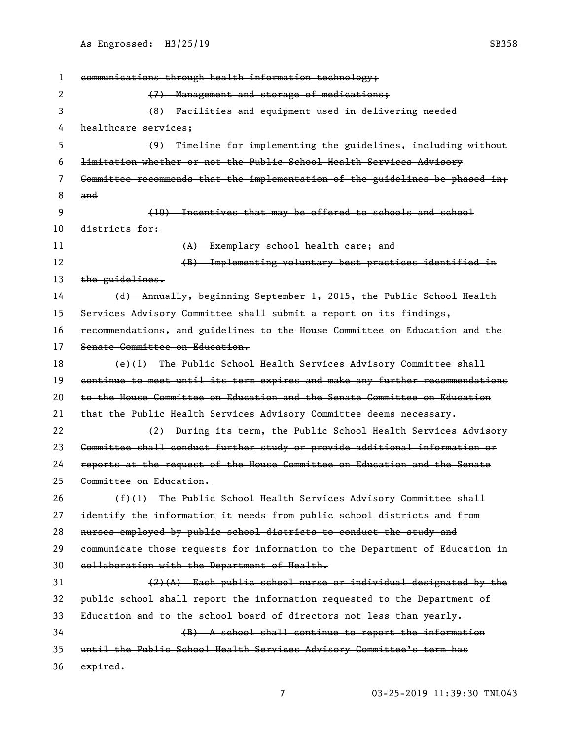communications through health information technology; 2 (7) Management and storage of medications; (8) Facilities and equipment used in delivering needed 4 healthcare services; (9) Timeline for implementing the guidelines, including without limitation whether or not the Public School Health Services Advisory Committee recommends that the implementation of the guidelines be phased in; and (10) Incentives that may be offered to schools and school districts for: 11 (A) Exemplary school health care; and (B) Implementing voluntary best practices identified in 13 the guidelines. (d) Annually, beginning September 1, 2015, the Public School Health Services Advisory Committee shall submit a report on its findings, recommendations, and guidelines to the House Committee on Education and the Senate Committee on Education. 18 (e)(1) The Public School Health Services Advisory Committee shall continue to meet until its term expires and make any further recommendations to the House Committee on Education and the Senate Committee on Education that the Public Health Services Advisory Committee deems necessary. 22 (2) During its term, the Public School Health Services Advisory Committee shall conduct further study or provide additional information or reports at the request of the House Committee on Education and the Senate Committee on Education.  $(f)$  (1) The Public School Health Services Advisory Committee shall identify the information it needs from public school districts and from nurses employed by public school districts to conduct the study and communicate those requests for information to the Department of Education in collaboration with the Department of Health.  $(2)(A)$  Each public school nurse or individual designated by the public school shall report the information requested to the Department of Education and to the school board of directors not less than yearly. (B) A school shall continue to report the information until the Public School Health Services Advisory Committee's term has 36 expired.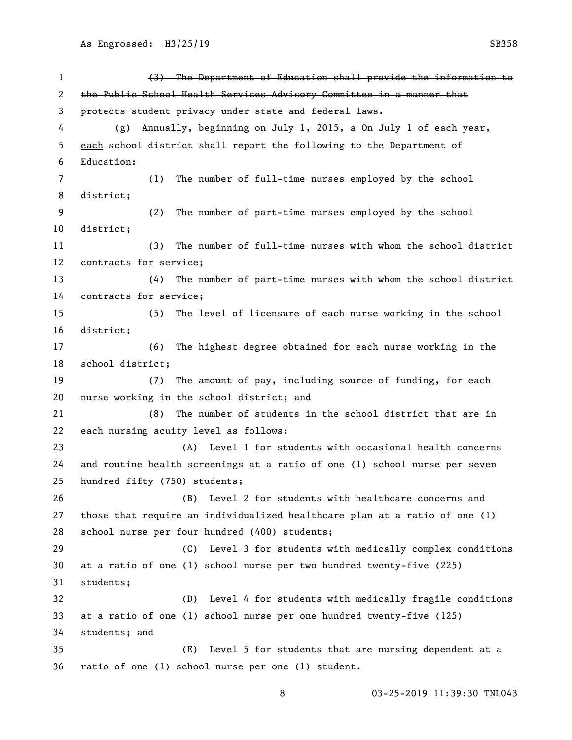(3) The Department of Education shall provide the information to the Public School Health Services Advisory Committee in a manner that protects student privacy under state and federal laws. (g) Annually, beginning on July 1, 2015, a On July 1 of each year, each school district shall report the following to the Department of Education: (1) The number of full-time nurses employed by the school district; (2) The number of part-time nurses employed by the school district; (3) The number of full-time nurses with whom the school district contracts for service; (4) The number of part-time nurses with whom the school district contracts for service; (5) The level of licensure of each nurse working in the school district; (6) The highest degree obtained for each nurse working in the school district; (7) The amount of pay, including source of funding, for each nurse working in the school district; and (8) The number of students in the school district that are in each nursing acuity level as follows: (A) Level 1 for students with occasional health concerns and routine health screenings at a ratio of one (1) school nurse per seven hundred fifty (750) students; (B) Level 2 for students with healthcare concerns and those that require an individualized healthcare plan at a ratio of one (1) school nurse per four hundred (400) students; (C) Level 3 for students with medically complex conditions at a ratio of one (1) school nurse per two hundred twenty-five (225) students; (D) Level 4 for students with medically fragile conditions at a ratio of one (1) school nurse per one hundred twenty-five (125) students; and (E) Level 5 for students that are nursing dependent at a ratio of one (1) school nurse per one (1) student.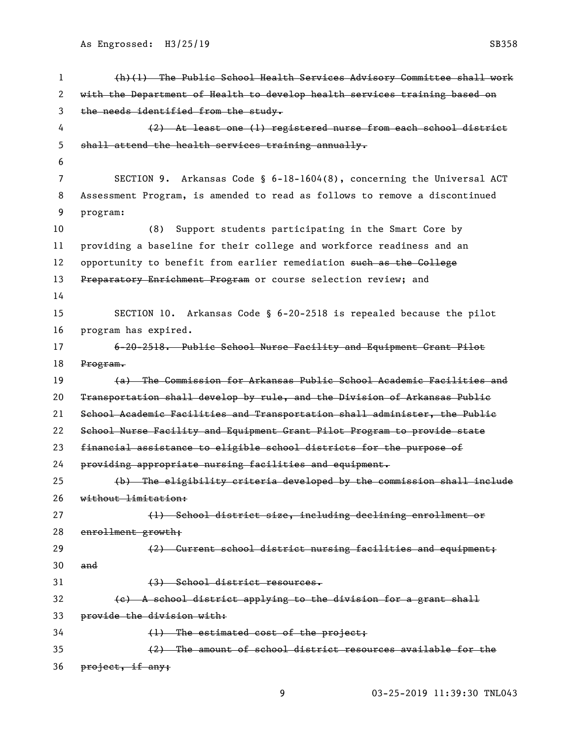| 1  | (h)(1) The Public School Health Services Advisory Committee shall work     |
|----|----------------------------------------------------------------------------|
| 2  | with the Department of Health to develop health services training based on |
| 3  | the needs identified from the study.                                       |
| 4  | (2) At least one (1) registered nurse from each school district            |
| 5  | shall attend the health services training annually.                        |
| 6  |                                                                            |
| 7  | SECTION 9.<br>Arkansas Code § 6-18-1604(8), concerning the Universal ACT   |
| 8  | Assessment Program, is amended to read as follows to remove a discontinued |
| 9  | program:                                                                   |
| 10 | Support students participating in the Smart Core by<br>(8)                 |
| 11 | providing a baseline for their college and workforce readiness and an      |
| 12 | opportunity to benefit from earlier remediation such as the Gollege        |
| 13 | Preparatory Enrichment Program or course selection review; and             |
| 14 |                                                                            |
| 15 | SECTION 10. Arkansas Code $\S$ 6-20-2518 is repealed because the pilot     |
| 16 | program has expired.                                                       |
| 17 | 6-20-2518. Public School Nurse Facility and Equipment Grant Pilot          |
| 18 | Program.                                                                   |
| 19 | (a) The Commission for Arkansas Public School Academic Facilities and      |
| 20 | Transportation shall develop by rule, and the Division of Arkansas Publie  |
| 21 | School Academic Facilities and Transportation shall administer, the Public |
| 22 | School Nurse Facility and Equipment Grant Pilot Program to provide state   |
| 23 | financial assistance to eligible school districts for the purpose of       |
| 24 | providing appropriate nursing facilities and equipment.                    |
| 25 | (b) The eligibility criteria developed by the commission shall include     |
| 26 | without limitation:                                                        |
| 27 | (1) School district size, including declining enrollment or                |
| 28 | enrollment growth;                                                         |
| 29 | (2) Current school district nursing facilities and equipment;              |
| 30 | and                                                                        |
| 31 | (3) School district resources.                                             |
| 32 | (e) A school district applying to the division for a grant shall           |
| 33 | provide the division with:                                                 |
| 34 | $(1)$ The estimated cost of the project;                                   |
| 35 | (2) The amount of school district resources available for the              |
| 36 | project, if any;                                                           |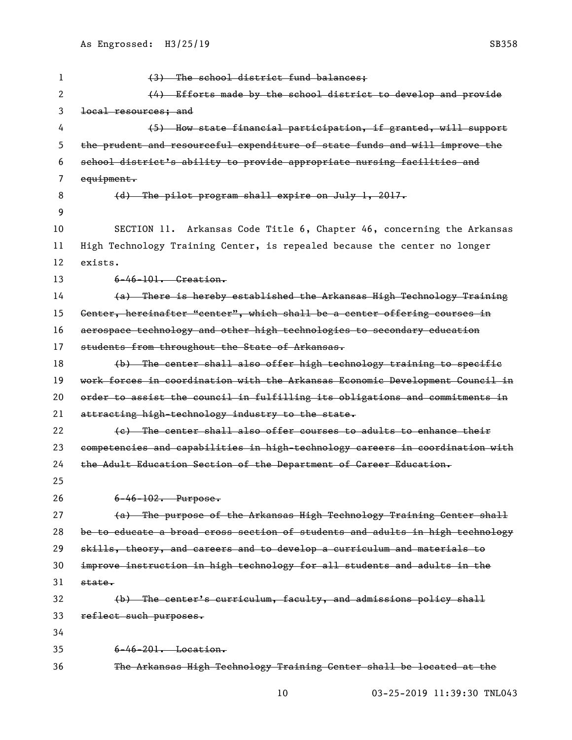| 1  | (3) The school district fund balances;                                        |
|----|-------------------------------------------------------------------------------|
| 2  | (4) Efforts made by the school district to develop and provide                |
| 3  | local resources; and                                                          |
| 4  | (5) How state financial participation, if granted, will support               |
| 5  | the prudent and resourceful expenditure of state funds and will improve the   |
| 6  | school district's ability to provide appropriate nursing facilities and       |
| 7  | equipment.                                                                    |
| 8  | (d) The pilot program shall expire on July 1, 2017.                           |
| 9  |                                                                               |
| 10 | Arkansas Code Title 6, Chapter 46, concerning the Arkansas<br>SECTION 11.     |
| 11 | High Technology Training Center, is repealed because the center no longer     |
| 12 | exists.                                                                       |
| 13 | $6-46-101$ . Greation.                                                        |
| 14 | (a) There is hereby established the Arkansas High Technology Training         |
| 15 | Genter, hereinafter "center", which shall be a center offering courses in     |
| 16 | aerospace technology and other high technologies to secondary education       |
| 17 | students from throughout the State of Arkansas.                               |
| 18 | (b) The center shall also offer high technology training to specific          |
| 19 | work forces in coordination with the Arkansas Economic Development Gouncil in |
| 20 | order to assist the council in fulfilling its obligations and commitments in  |
| 21 | attracting high-technology industry to the state.                             |
| 22 | (e) The center shall also offer courses to adults to enhance their            |
| 23 | competencies and capabilities in high-technology careers in coordination with |
| 24 | the Adult Education Section of the Department of Career Education.            |
| 25 |                                                                               |
| 26 | $6 - 46 - 102$ . Purpose.                                                     |
| 27 | (a) The purpose of the Arkansas High Technology Training Center shall         |
| 28 | be to educate a broad cross section of students and adults in high technology |
| 29 | skills, theory, and careers and to develop a curriculum and materials to      |
| 30 | improve instruction in high technology for all students and adults in the     |
| 31 | state.                                                                        |
| 32 | (b) The center's curriculum, faculty, and admissions policy shall             |
| 33 | reflect such purposes.                                                        |
| 34 |                                                                               |
| 35 | $6 - 46 - 201$ . Location.                                                    |
| 36 | The Arkansas High Technology Training Center shall be located at the          |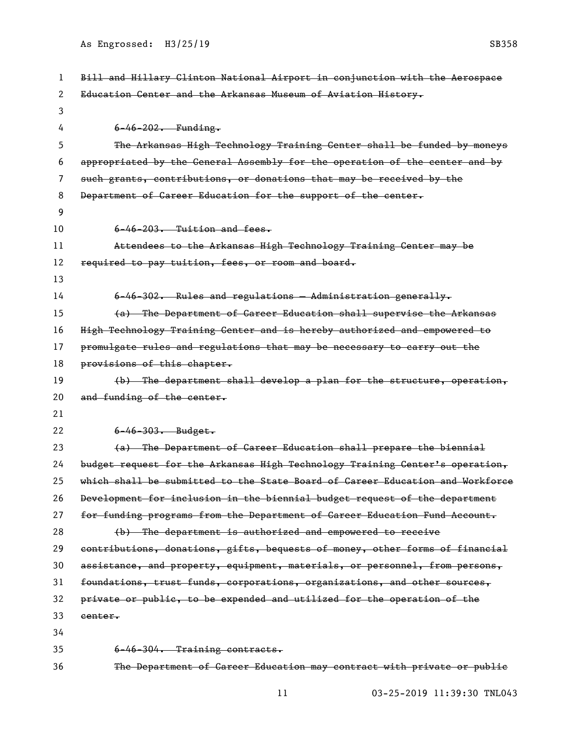| 1  | Bill and Hillary Clinton National Airport in conjunction with the Aerospace   |
|----|-------------------------------------------------------------------------------|
| 2  | Education Center and the Arkansas Museum of Aviation History.                 |
| 3  |                                                                               |
| 4  | $6 - 46 - 202$ . Funding.                                                     |
| 5  | The Arkansas High Technology Training Center shall be funded by moneys        |
| 6  | appropriated by the General Assembly for the operation of the center and by   |
| 7  | such grants, contributions, or donations that may be received by the          |
| 8  | Department of Career Education for the support of the center.                 |
| 9  |                                                                               |
| 10 | $6-46-203$ . Tuition and fees.                                                |
| 11 | Attendees to the Arkansas High Technology Training Center may be              |
| 12 | required to pay tuition, fees, or room and board.                             |
| 13 |                                                                               |
| 14 | 6-46-302. Rules and regulations - Administration generally.                   |
| 15 | (a) The Department of Career Education shall supervise the Arkansas           |
| 16 | High Technology Training Genter and is hereby authorized and empowered to     |
| 17 | promulgate rules and regulations that may be necessary to carry out the       |
| 18 | provisions of this chapter.                                                   |
| 19 | (b) The department shall develop a plan for the structure, operation,         |
| 20 | and funding of the center.                                                    |
| 21 |                                                                               |
| 22 | $6 - 46 - 303$ . Budget.                                                      |
| 23 | (a) The Department of Career Education shall prepare the biennial             |
| 24 | budget request for the Arkansas High Technology Training Center's operation,  |
| 25 | which shall be submitted to the State Board of Career Education and Workforce |
| 26 | Development for inclusion in the biennial budget request of the department    |
| 27 | for funding programs from the Department of Career Education Fund Account.    |
| 28 | (b) The department is authorized and empowered to receive                     |
| 29 | contributions, donations, gifts, bequests of money, other forms of financial  |
| 30 | assistance, and property, equipment, materials, or personnel, from persons,   |
| 31 | foundations, trust funds, corporations, organizations, and other sources,     |
| 32 | private or public, to be expended and utilized for the operation of the       |
| 33 | center.                                                                       |
| 34 |                                                                               |
| 35 | 6-46-304. Training contracts.                                                 |
| 36 | The Department of Career Education may contract with private or public        |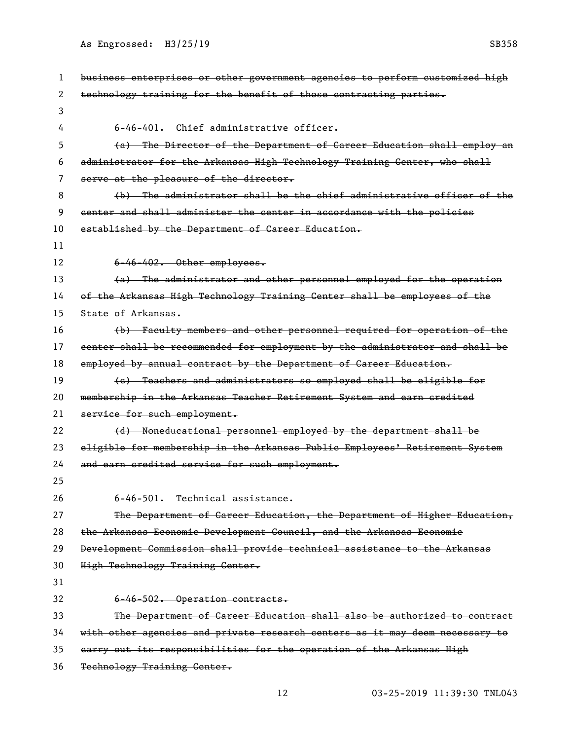| 1  | business enterprises or other government agencies to perform customized high |
|----|------------------------------------------------------------------------------|
| 2  | technology training for the benefit of those contracting parties.            |
| 3  |                                                                              |
| 4  | $6-46-401$ . Chief administrative officer.                                   |
| 5  | (a) The Director of the Department of Career Education shall employ an       |
| 6  | administrator for the Arkansas High Technology Training Center, who shall    |
| 7  | serve at the pleasure of the director.                                       |
| 8  | (b) The administrator shall be the chief administrative officer of the       |
| 9  | center and shall administer the center in accordance with the policies       |
| 10 | established by the Department of Career Education.                           |
| 11 |                                                                              |
| 12 | $6-46-402$ . Other employees.                                                |
| 13 | (a) The administrator and other personnel employed for the operation         |
| 14 | of the Arkansas High Technology Training Center shall be employees of the    |
| 15 | State of Arkansas.                                                           |
| 16 | (b) Faculty members and other personnel required for operation of the        |
| 17 | eenter shall be recommended for employment by the administrator and shall be |
| 18 | employed by annual contract by the Department of Career Education.           |
| 19 | (e) Teachers and administrators so employed shall be eligible for            |
| 20 | membership in the Arkansas Teacher Retirement System and earn credited       |
| 21 | service for such employment.                                                 |
| 22 | (d) Noneducational personnel employed by the department shall be             |
| 23 | eligible for membership in the Arkansas Public Employees' Retirement System  |
| 24 | and earn credited service for such employment.                               |
| 25 |                                                                              |
| 26 | 6-46-501. Technical assistance.                                              |
| 27 | The Department of Career Education, the Department of Higher Education,      |
| 28 | the Arkansas Economic Development Council, and the Arkansas Economic         |
| 29 | Development Commission shall provide technical assistance to the Arkansas    |
| 30 | High Technology Training Center.                                             |
| 31 |                                                                              |
| 32 | 6-46-502. Operation contracts.                                               |
| 33 | The Department of Career Education shall also be authorized to contract      |
| 34 | with other agencies and private research centers as it may deem necessary to |
| 35 | earry out its responsibilities for the operation of the Arkansas High        |
| 36 | Technology Training Center.                                                  |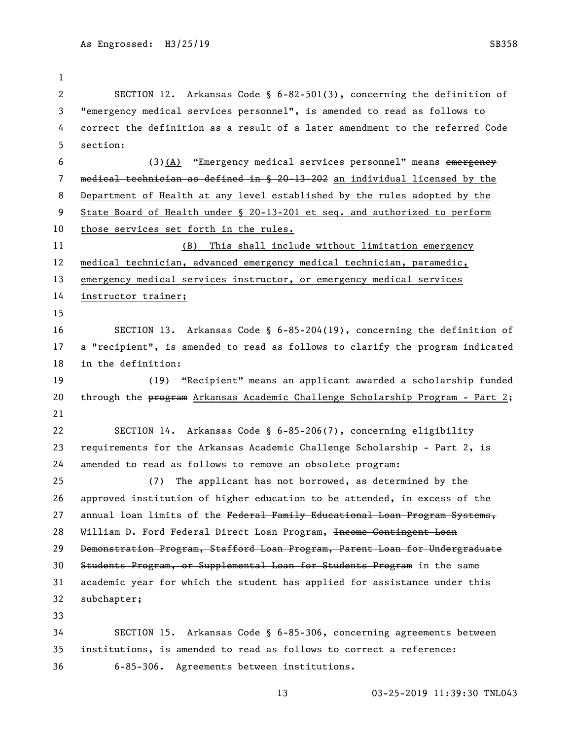SECTION 12. Arkansas Code § 6-82-501(3), concerning the definition of "emergency medical services personnel", is amended to read as follows to correct the definition as a result of a later amendment to the referred Code section: 6 (3)(A) "Emergency medical services personnel" means emergency medical technician as defined in § 20-13-202 an individual licensed by the Department of Health at any level established by the rules adopted by the State Board of Health under § 20-13-201 et seq. and authorized to perform 10 those services set forth in the rules. (B) This shall include without limitation emergency medical technician, advanced emergency medical technician, paramedic, emergency medical services instructor, or emergency medical services instructor trainer; SECTION 13. Arkansas Code § 6-85-204(19), concerning the definition of a "recipient", is amended to read as follows to clarify the program indicated in the definition: (19) "Recipient" means an applicant awarded a scholarship funded 20 through the program Arkansas Academic Challenge Scholarship Program - Part 2; SECTION 14. Arkansas Code § 6-85-206(7), concerning eligibility requirements for the Arkansas Academic Challenge Scholarship - Part 2, is amended to read as follows to remove an obsolete program: (7) The applicant has not borrowed, as determined by the approved institution of higher education to be attended, in excess of the 27 annual loan limits of the Federal Family Educational Loan Program Systems, 28 William D. Ford Federal Direct Loan Program, Income Contingent Loan Demonstration Program, Stafford Loan Program, Parent Loan for Undergraduate Students Program, or Supplemental Loan for Students Program in the same academic year for which the student has applied for assistance under this subchapter; SECTION 15. Arkansas Code § 6-85-306, concerning agreements between institutions, is amended to read as follows to correct a reference: 6-85-306. Agreements between institutions.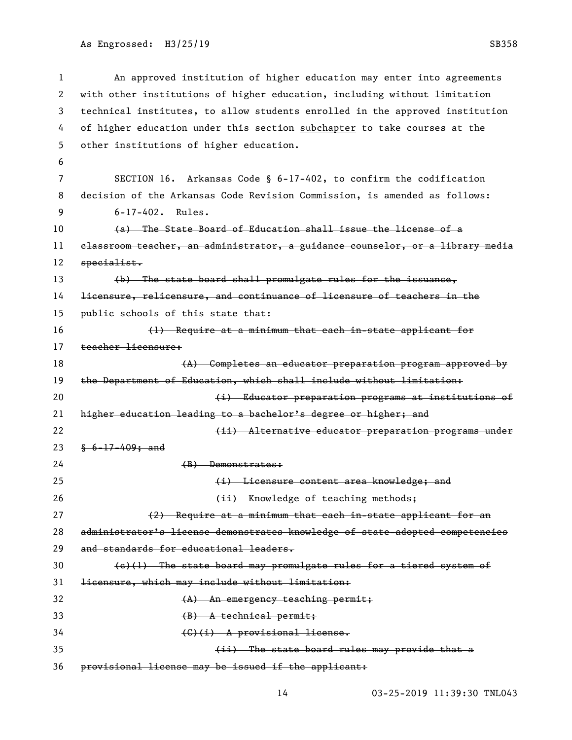```
As Engrossed: H3/25/19 SB358
```

```
1 An approved institution of higher education may enter into agreements 
2 with other institutions of higher education, including without limitation 
3 technical institutes, to allow students enrolled in the approved institution 
4 of higher education under this seetion subchapter to take courses at the
5 other institutions of higher education.
6
7 SECTION 16. Arkansas Code § 6-17-402, to confirm the codification 
8 decision of the Arkansas Code Revision Commission, is amended as follows:
9 6-17-402. Rules. 
10 (a) The State Board of Education shall issue the license of a 
11 classroom teacher, an administrator, a guidance counselor, or a library media 
12 specialist.
13 (b) The state board shall promulgate rules for the issuance,
14 licensure, relicensure, and continuance of licensure of teachers in the 
15 public schools of this state that:
16 (1) Require at a minimum that each in-state applicant for 
17 teacher licensure:
18 (A) Completes an educator preparation program approved by
19 the Department of Education, which shall include without limitation:
20 (i) Educator preparation programs at institutions of
21 higher education leading to a bachelor's degree or higher; and
22 die is alternative educator preparation programs under
23 § 6-17-409; and
24 (B) Demonstrates:
25 (i) Licensure content area knowledge; and
26 (ii) Knowledge of teaching methods;
27 (2) Require at a minimum that each in-state applicant for an
28 administrator's license demonstrates knowledge of state-adopted competencies 
29 and standards for educational leaders.
30 \left\{\frac{e}{1}\right\} The state board may promulgate rules for a tiered system of
31 licensure, which may include without limitation:
32 (A) An emergency teaching permit:
33 (B) A technical permit;
34 (G)(i) A provisional license.
35 (ii) The state board rules may provide that a 
36 provisional license may be issued if the applicant:
```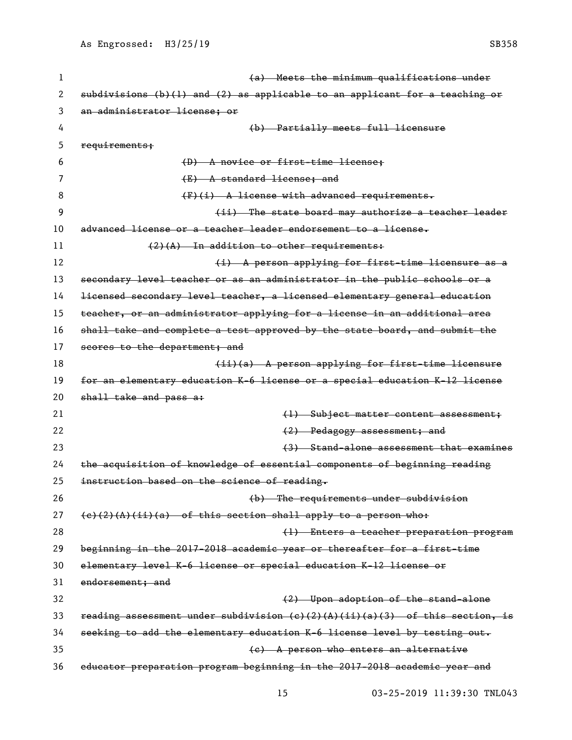| 1  | (a) Meets the minimum qualifications under                                                    |
|----|-----------------------------------------------------------------------------------------------|
| 2  | subdivisions (b)(l) and (2) as applicable to an applicant for a teaching or                   |
| 3  | an administrator license; or                                                                  |
| 4  | (b) Partially meets full licensure                                                            |
| 5  | requirements;                                                                                 |
| 6  | (D) A novice or first-time license;                                                           |
| 7  | (E) A standard license; and                                                                   |
| 8  | $(F)$ (i) A license with advanced requirements.                                               |
| 9  | (ii) The state board may authorize a teacher leader                                           |
| 10 | advanced license or a teacher leader endorsement to a license.                                |
| 11 | $(2)$ (A) In addition to other requirements:                                                  |
| 12 | (i) A person applying for first-time licensure as a                                           |
| 13 | secondary level teacher or as an administrator in the public schools or a                     |
| 14 | licensed secondary level teacher, a licensed elementary general education                     |
| 15 | teacher, or an administrator applying for a license in an additional area                     |
| 16 | shall take and complete a test approved by the state board, and submit the                    |
| 17 | scores to the department; and                                                                 |
| 18 | (ii)(a) A person applying for first-time licensure                                            |
| 19 | for an elementary education K-6 license or a special education K-12 license                   |
| 20 | shall take and pass a:                                                                        |
| 21 | (1) Subject matter content assessment;                                                        |
| 22 | (2) Pedagogy assessment; and                                                                  |
| 23 | (3) Stand-alone assessment that examines                                                      |
| 24 | the acquisition of knowledge of essential components of beginning reading                     |
| 25 | instruction based on the science of reading.                                                  |
| 26 | (b) The requirements under subdivision                                                        |
| 27 | $(e)$ (2)(A)(ii)(a) of this section shall apply to a person who:                              |
| 28 | (1) Enters a teacher preparation program                                                      |
| 29 | beginning in the 2017-2018 academic year or thereafter for a first-time                       |
| 30 | elementary level K-6 license or special education K-12 license or                             |
| 31 | endorsement: and                                                                              |
| 32 | (2) Upon adoption of the stand-alone                                                          |
| 33 | reading assessment under subdivision $(e)$ $(2)$ $(A)$ $(ii)$ $(a)$ $(3)$ of this section, is |
| 34 | seeking to add the elementary education K-6 license level by testing out.                     |
| 35 | (e) A person who enters an alternative                                                        |
| 36 | educator preparation program beginning in the 2017-2018 academic year and                     |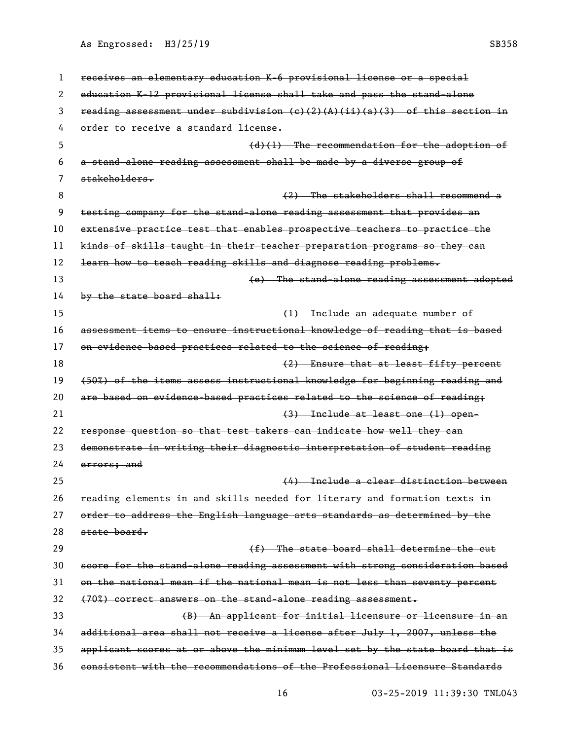| 1  | receives an elementary education K-6 provisional license or a special                       |
|----|---------------------------------------------------------------------------------------------|
| 2  | education K-12 provisional license shall take and pass the stand-alone                      |
| 3  | reading assessment under subdivision $(e)$ $(2)$ $(A)$ $(i)$ $(a)$ $(3)$ of this section in |
| 4  | order to receive a standard license.                                                        |
| 5  | $(d)$ (1) The recommendation for the adoption of                                            |
| 6  | a stand-alone reading assessment shall be made by a diverse group of                        |
| 7  | stakeholders.                                                                               |
| 8  | (2) The stakeholders shall recommend a                                                      |
| 9  | testing company for the stand-alone reading assessment that provides an                     |
| 10 | extensive practice test that enables prospective teachers to practice the                   |
| 11 | kinds of skills taught in their teacher preparation programs so they can                    |
| 12 | learn how to teach reading skills and diagnose reading problems.                            |
| 13 | (e) The stand-alone reading assessment adopted                                              |
| 14 | by the state board shall:                                                                   |
| 15 | (1) Include an adequate number of                                                           |
| 16 | assessment items to ensure instructional knowledge of reading that is based                 |
| 17 | on evidence-based practices related to the science of reading;                              |
| 18 | (2) Ensure that at least fifty percent                                                      |
| 19 | (50%) of the items assess instructional knowledge for beginning reading and                 |
| 20 | are based on evidence-based practices related to the science of reading;                    |
| 21 | $(3)$ Include at least one $(1)$ open-                                                      |
| 22 | response question so that test takers can indicate how well they can                        |
| 23 | demonstrate in writing their diagnostic interpretation of student reading                   |
| 24 | errors, and                                                                                 |
| 25 | (4) Include a clear distinction between                                                     |
| 26 | reading elements in and skills needed for literary and formation texts in                   |
| 27 | order to address the English language arts standards as determined by the                   |
| 28 | state board.                                                                                |
| 29 | (f) The state board shall determine the cut                                                 |
| 30 | score for the stand-alone reading assessment with strong consideration based                |
| 31 | on the national mean if the national mean is not less than seventy percent                  |
| 32 | (70%) correct answers on the stand-alone reading assessment.                                |
| 33 | (B) An applicant for initial licensure or licensure in an                                   |
| 34 | additional area shall not receive a license after July 1, 2007, unless the                  |
| 35 | applicant scores at or above the minimum level set by the state board that is               |
| 36 | consistent with the recommendations of the Professional Licensure Standards                 |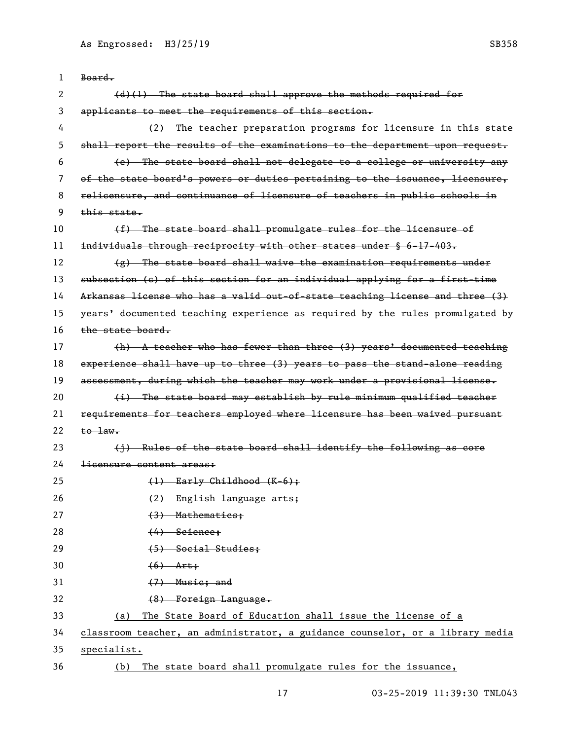| 1  | Board.                                                                        |
|----|-------------------------------------------------------------------------------|
| 2  | (d)(l) The state board shall approve the methods required for                 |
| 3  | applicants to meet the requirements of this section.                          |
| 4  | (2) The teacher preparation programs for licensure in this state              |
| 5  | shall report the results of the examinations to the department upon request.  |
| 6  | (e) The state board shall not delegate to a college or university any         |
| 7  | of the state board's powers or duties pertaining to the issuance, licensure,  |
| 8  | relicensure, and continuance of licensure of teachers in public schools in    |
| 9  | this state.                                                                   |
| 10 | (f) The state board shall promulgate rules for the licensure of               |
| 11 | individuals through reciprocity with other states under § 6-17-403.           |
| 12 | $(g)$ The state board shall waive the examination requirements under          |
| 13 | subsection (c) of this section for an individual applying for a first-time    |
| 14 | Arkansas license who has a valid out-of-state teaching license and three (3)  |
| 15 | years' documented teaching experience as required by the rules promulgated by |
| 16 | the state board.                                                              |
| 17 | $(h)$ A teacher who has fewer than three $(3)$ years' documented teaching     |
| 18 | experience shall have up to three (3) years to pass the stand-alone reading   |
| 19 | assessment, during which the teacher may work under a provisional license.    |
| 20 | (i) The state board may establish by rule minimum qualified teacher           |
| 21 | requirements for teachers employed where licensure has been waived pursuant   |
| 22 | $\text{to}$ $\text{law}$ .                                                    |
| 23 | (j) Rules of the state board shall identify the following as core             |
| 24 | <del>licensure content areas:</del>                                           |
| 25 | $(1)$ Early Childhood $(K-6)$ ;                                               |
| 26 | (2) English language arts;                                                    |
| 27 | $(3)$ Mathematics;                                                            |
| 28 | $(4)$ Science;                                                                |
| 29 | (5) Social Studies;                                                           |
| 30 | $(6)$ Art;                                                                    |
| 31 | $(7)$ Music; and                                                              |
| 32 | (8) Foreign Language.                                                         |
| 33 | The State Board of Education shall issue the license of a<br>(a)              |
| 34 | classroom teacher, an administrator, a guidance counselor, or a library media |
| 35 | specialist.                                                                   |
| 36 | The state board shall promulgate rules for the issuance,<br>(b)               |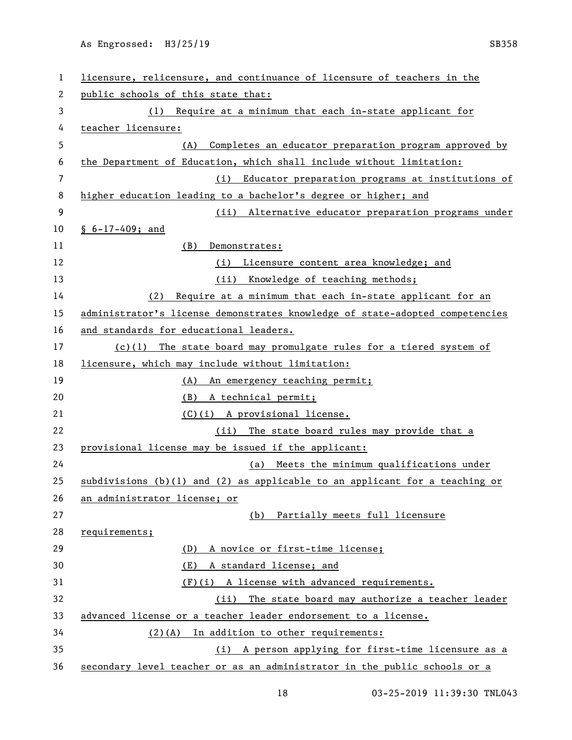| 1  | licensure, relicensure, and continuance of licensure of teachers in the         |
|----|---------------------------------------------------------------------------------|
| 2  | public schools of this state that:                                              |
| 3  | (1) Require at a minimum that each in-state applicant for                       |
| 4  | teacher licensure:                                                              |
| 5  | Completes an educator preparation program approved by<br>(A)                    |
| 6  | the Department of Education, which shall include without limitation:            |
| 7  | Educator preparation programs at institutions of<br>(i)                         |
| 8  | higher education leading to a bachelor's degree or higher; and                  |
| 9  | (ii) Alternative educator preparation programs under                            |
| 10 | $$6-17-409; and$                                                                |
| 11 | (B)<br>Demonstrates:                                                            |
| 12 | (i) Licensure content area knowledge; and                                       |
| 13 | (ii) Knowledge of teaching methods;                                             |
| 14 | Require at a minimum that each in-state applicant for an<br>(2)                 |
| 15 | administrator's license demonstrates knowledge of state-adopted competencies    |
| 16 | and standards for educational leaders.                                          |
| 17 | $(c)(1)$ The state board may promulgate rules for a tiered system of            |
| 18 | licensure, which may include without limitation:                                |
| 19 | (A) An emergency teaching permit;                                               |
| 20 | (B) A technical permit;                                                         |
| 21 | (C)(i) A provisional license.                                                   |
| 22 | (ii) The state board rules may provide that a                                   |
| 23 | provisional license may be issued if the applicant:                             |
| 24 | (a) Meets the minimum qualifications under                                      |
| 25 | subdivisions $(b)(1)$ and $(2)$ as applicable to an applicant for a teaching or |
| 26 | an administrator license; or                                                    |
| 27 | (b) Partially meets full licensure                                              |
| 28 | requirements;                                                                   |
| 29 | A novice or first-time license;<br>(D)                                          |
| 30 | A standard license; and<br>(E)                                                  |
| 31 | (F)(i) A license with advanced requirements.                                    |
| 32 | The state board may authorize a teacher leader<br>(ii)                          |
| 33 | advanced license or a teacher leader endorsement to a license.                  |
| 34 | (2)(A) In addition to other requirements:                                       |
| 35 | (i) A person applying for first-time licensure as a                             |
| 36 | secondary level teacher or as an administrator in the public schools or a       |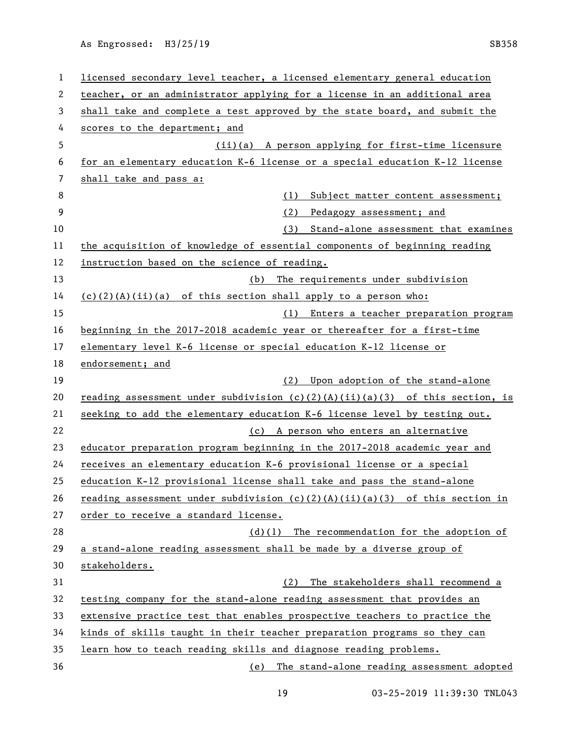| 1  | licensed secondary level teacher, a licensed elementary general education      |
|----|--------------------------------------------------------------------------------|
| 2  | teacher, or an administrator applying for a license in an additional area      |
| 3  | shall take and complete a test approved by the state board, and submit the     |
| 4  | scores to the department; and                                                  |
| 5  | (ii)(a) A person applying for first-time licensure                             |
| 6  | for an elementary education K-6 license or a special education K-12 license    |
| 7  | shall take and pass a:                                                         |
| 8  | (1)<br>Subject matter content assessment;                                      |
| 9  | (2)<br>Pedagogy assessment; and                                                |
| 10 | (3)<br>Stand-alone assessment that examines                                    |
| 11 | the acquisition of knowledge of essential components of beginning reading      |
| 12 | instruction based on the science of reading.                                   |
| 13 | The requirements under subdivision<br>(b)                                      |
| 14 | $(c)(2)(A)(ii)(a)$ of this section shall apply to a person who:                |
| 15 | (1)<br>Enters a teacher preparation program                                    |
| 16 | beginning in the 2017-2018 academic year or thereafter for a first-time        |
| 17 | elementary level K-6 license or special education K-12 license or              |
| 18 | endorsement; and                                                               |
| 19 | Upon adoption of the stand-alone<br>(2)                                        |
| 20 | reading assessment under subdivision $(c)(2)(A)(ii)(a)(3)$ of this section, is |
| 21 | seeking to add the elementary education K-6 license level by testing out.      |
| 22 | (c) A person who enters an alternative                                         |
| 23 | educator preparation program beginning in the 2017-2018 academic year and      |
| 24 | receives an elementary education K-6 provisional license or a special          |
|    |                                                                                |
| 25 | education K-12 provisional license shall take and pass the stand-alone         |
| 26 | reading assessment under subdivision $(c)(2)(A)(ii)(a)(3)$ of this section in  |
| 27 | order to receive a standard license.                                           |
| 28 | $(d)(1)$ The recommendation for the adoption of                                |
| 29 | a stand-alone reading assessment shall be made by a diverse group of           |
| 30 | stakeholders.                                                                  |
| 31 | The stakeholders shall recommend a<br>(2)                                      |
| 32 | testing company for the stand-alone reading assessment that provides an        |
| 33 | extensive practice test that enables prospective teachers to practice the      |
| 34 | kinds of skills taught in their teacher preparation programs so they can       |
| 35 | learn how to teach reading skills and diagnose reading problems.               |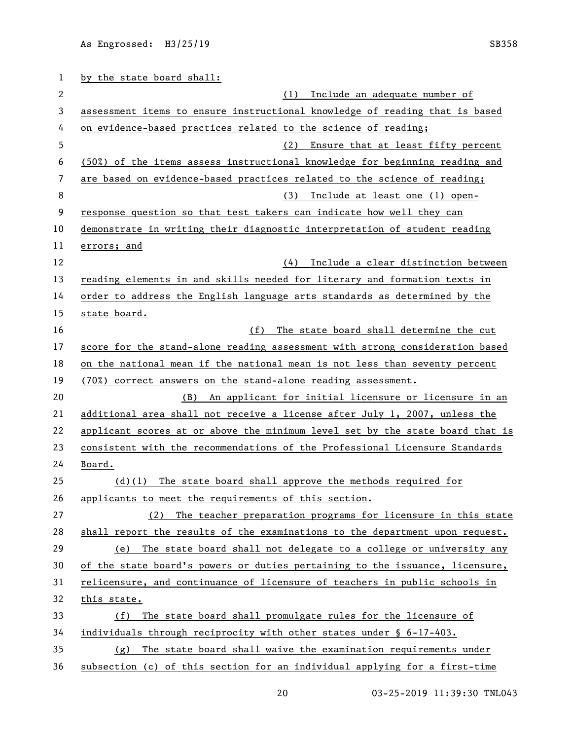| 1  | by the state board shall:                                                     |
|----|-------------------------------------------------------------------------------|
| 2  | Include an adequate number of<br>(1)                                          |
| 3  | assessment items to ensure instructional knowledge of reading that is based   |
| 4  | on evidence-based practices related to the science of reading;                |
| 5  | (2)<br>Ensure that at least fifty percent                                     |
| 6  | (50%) of the items assess instructional knowledge for beginning reading and   |
| 7  | are based on evidence-based practices related to the science of reading;      |
| 8  | Include at least one (1) open-<br>(3)                                         |
| 9  | response question so that test takers can indicate how well they can          |
| 10 | demonstrate in writing their diagnostic interpretation of student reading     |
| 11 | errors; and                                                                   |
| 12 | Include a clear distinction between<br>(4)                                    |
| 13 | reading elements in and skills needed for literary and formation texts in     |
| 14 | order to address the English language arts standards as determined by the     |
| 15 | state board.                                                                  |
| 16 | (f)<br>The state board shall determine the cut                                |
| 17 | score for the stand-alone reading assessment with strong consideration based  |
| 18 | on the national mean if the national mean is not less than seventy percent    |
| 19 | (70%) correct answers on the stand-alone reading assessment.                  |
| 20 | An applicant for initial licensure or licensure in an<br>(B)                  |
| 21 | additional area shall not receive a license after July 1, 2007, unless the    |
| 22 | applicant scores at or above the minimum level set by the state board that is |
| 23 | consistent with the recommendations of the Professional Licensure Standards   |
| 24 | Board.                                                                        |
| 25 | $(d)(1)$ The state board shall approve the methods required for               |
| 26 | applicants to meet the requirements of this section.                          |
| 27 | The teacher preparation programs for licensure in this state<br>(2)           |
| 28 | shall report the results of the examinations to the department upon request.  |
| 29 | The state board shall not delegate to a college or university any<br>(e)      |
| 30 | of the state board's powers or duties pertaining to the issuance, licensure,  |
| 31 | relicensure, and continuance of licensure of teachers in public schools in    |
| 32 | this state.                                                                   |
| 33 | The state board shall promulgate rules for the licensure of<br>(f)            |
| 34 | individuals through reciprocity with other states under § 6-17-403.           |
| 35 | The state board shall waive the examination requirements under<br>(g)         |
| 36 | subsection (c) of this section for an individual applying for a first-time    |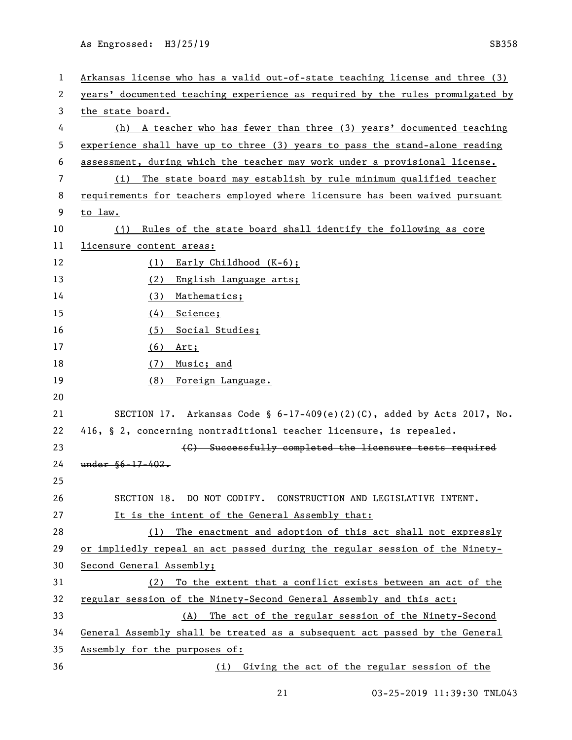| 1  | Arkansas license who has a valid out-of-state teaching license and three (3)  |
|----|-------------------------------------------------------------------------------|
| 2  | years' documented teaching experience as required by the rules promulgated by |
| 3  | the state board.                                                              |
| 4  | (h) A teacher who has fewer than three (3) years' documented teaching         |
| 5  | experience shall have up to three (3) years to pass the stand-alone reading   |
| 6  | assessment, during which the teacher may work under a provisional license.    |
| 7  | The state board may establish by rule minimum qualified teacher<br>(i)        |
| 8  | requirements for teachers employed where licensure has been waived pursuant   |
| 9  | to law.                                                                       |
| 10 | (j) Rules of the state board shall identify the following as core             |
| 11 | licensure content areas:                                                      |
| 12 | (1) Early Childhood (K-6);                                                    |
| 13 | <u>English language arts;</u><br>(2)                                          |
| 14 | Mathematics;<br>(3)                                                           |
| 15 | Science;<br>(4)                                                               |
| 16 | Social Studies;<br>(5)                                                        |
| 17 | (6)<br>Art;                                                                   |
| 18 | Music; and<br>(7)                                                             |
| 19 | Foreign Language.<br>(8)                                                      |
| 20 |                                                                               |
| 21 | SECTION 17. Arkansas Code § $6-17-409(e)(2)(C)$ , added by Acts 2017, No.     |
| 22 | 416, § 2, concerning nontraditional teacher licensure, is repealed.           |
| 23 | (C) Successfully completed the licensure tests required                       |
| 24 | $under$ $§6 - 17 - 402.$                                                      |
| 25 |                                                                               |
| 26 | SECTION 18. DO NOT CODIFY. CONSTRUCTION AND LEGISLATIVE INTENT.               |
| 27 | It is the intent of the General Assembly that:                                |
| 28 | The enactment and adoption of this act shall not expressly<br>(1)             |
| 29 | or impliedly repeal an act passed during the regular session of the Ninety-   |
| 30 | Second General Assembly;                                                      |
| 31 | To the extent that a conflict exists between an act of the<br>(2)             |
| 32 | regular session of the Ninety-Second General Assembly and this act:           |
| 33 | The act of the regular session of the Ninety-Second<br>(A)                    |
| 34 | General Assembly shall be treated as a subsequent act passed by the General   |
| 35 | Assembly for the purposes of:                                                 |
| 36 | (i) Giving the act of the regular session of the                              |